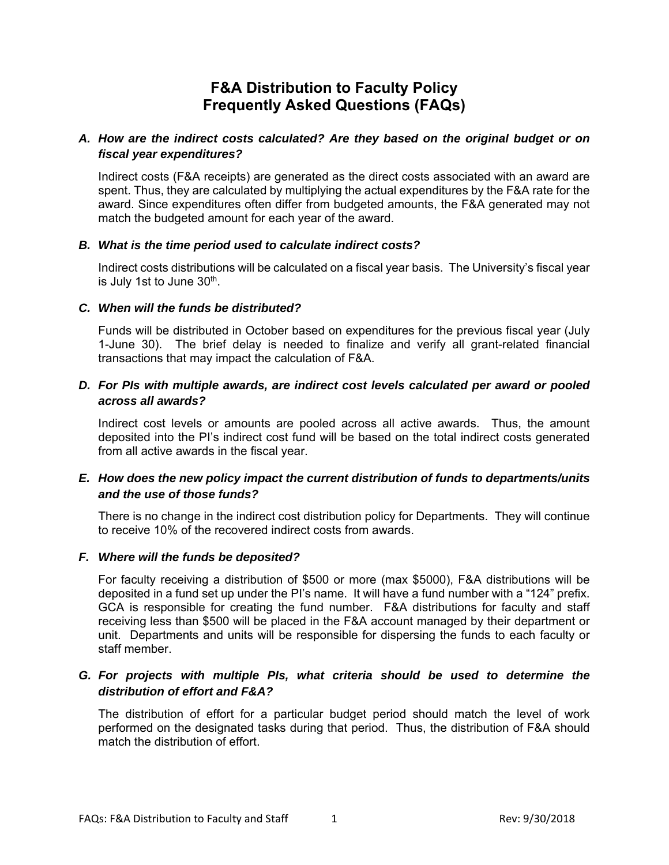# **F&A Distribution to Faculty Policy Frequently Asked Questions (FAQs)**

# *A. How are the indirect costs calculated? Are they based on the original budget or on fiscal year expenditures?*

Indirect costs (F&A receipts) are generated as the direct costs associated with an award are spent. Thus, they are calculated by multiplying the actual expenditures by the F&A rate for the award. Since expenditures often differ from budgeted amounts, the F&A generated may not match the budgeted amount for each year of the award.

#### *B. What is the time period used to calculate indirect costs?*

Indirect costs distributions will be calculated on a fiscal year basis. The University's fiscal year is July 1st to June 30<sup>th</sup>.

#### *C. When will the funds be distributed?*

Funds will be distributed in October based on expenditures for the previous fiscal year (July 1-June 30). The brief delay is needed to finalize and verify all grant-related financial transactions that may impact the calculation of F&A.

## *D. For PIs with multiple awards, are indirect cost levels calculated per award or pooled across all awards?*

Indirect cost levels or amounts are pooled across all active awards. Thus, the amount deposited into the PI's indirect cost fund will be based on the total indirect costs generated from all active awards in the fiscal year.

# *E. How does the new policy impact the current distribution of funds to departments/units and the use of those funds?*

There is no change in the indirect cost distribution policy for Departments. They will continue to receive 10% of the recovered indirect costs from awards.

#### *F. Where will the funds be deposited?*

For faculty receiving a distribution of \$500 or more (max \$5000), F&A distributions will be deposited in a fund set up under the PI's name. It will have a fund number with a "124" prefix. GCA is responsible for creating the fund number. F&A distributions for faculty and staff receiving less than \$500 will be placed in the F&A account managed by their department or unit. Departments and units will be responsible for dispersing the funds to each faculty or staff member.

## *G. For projects with multiple PIs, what criteria should be used to determine the distribution of effort and F&A?*

The distribution of effort for a particular budget period should match the level of work performed on the designated tasks during that period. Thus, the distribution of F&A should match the distribution of effort.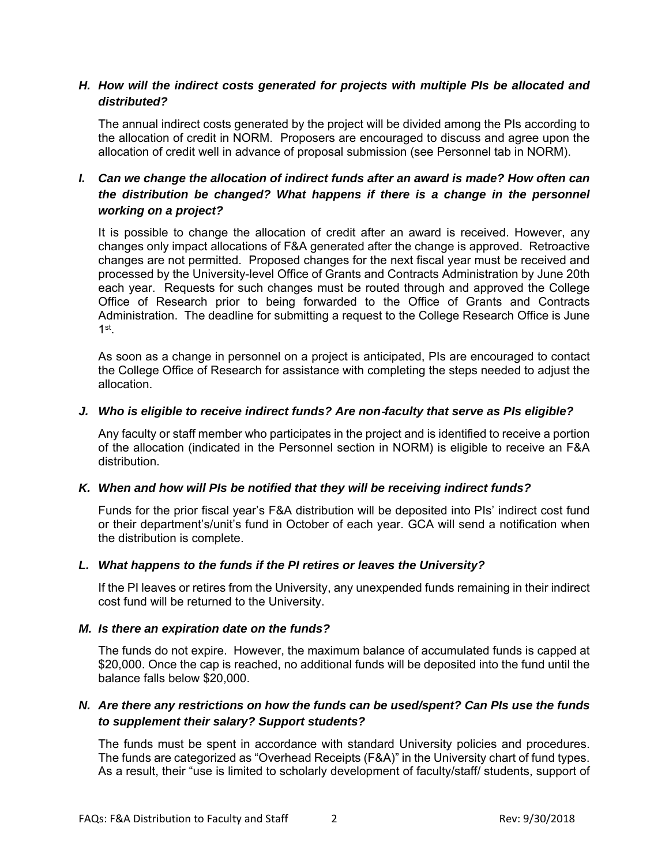## *H. How will the indirect costs generated for projects with multiple PIs be allocated and distributed?*

The annual indirect costs generated by the project will be divided among the PIs according to the allocation of credit in NORM. Proposers are encouraged to discuss and agree upon the allocation of credit well in advance of proposal submission (see Personnel tab in NORM).

# *I. Can we change the allocation of indirect funds after an award is made? How often can the distribution be changed? What happens if there is a change in the personnel working on a project?*

It is possible to change the allocation of credit after an award is received. However, any changes only impact allocations of F&A generated after the change is approved. Retroactive changes are not permitted. Proposed changes for the next fiscal year must be received and processed by the University-level Office of Grants and Contracts Administration by June 20th each year. Requests for such changes must be routed through and approved the College Office of Research prior to being forwarded to the Office of Grants and Contracts Administration. The deadline for submitting a request to the College Research Office is June 1st.

As soon as a change in personnel on a project is anticipated, PIs are encouraged to contact the College Office of Research for assistance with completing the steps needed to adjust the allocation.

#### *J. Who is eligible to receive indirect funds? Are non*-*faculty that serve as PIs eligible?*

Any faculty or staff member who participates in the project and is identified to receive a portion of the allocation (indicated in the Personnel section in NORM) is eligible to receive an F&A distribution.

## *K. When and how will PIs be notified that they will be receiving indirect funds?*

Funds for the prior fiscal year's F&A distribution will be deposited into PIs' indirect cost fund or their department's/unit's fund in October of each year. GCA will send a notification when the distribution is complete.

## *L. What happens to the funds if the PI retires or leaves the University?*

If the PI leaves or retires from the University, any unexpended funds remaining in their indirect cost fund will be returned to the University.

## *M. Is there an expiration date on the funds?*

The funds do not expire. However, the maximum balance of accumulated funds is capped at \$20,000. Once the cap is reached, no additional funds will be deposited into the fund until the balance falls below \$20,000.

# *N. Are there any restrictions on how the funds can be used/spent? Can PIs use the funds to supplement their salary? Support students?*

The funds must be spent in accordance with standard University policies and procedures. The funds are categorized as "Overhead Receipts (F&A)" in the University chart of fund types. As a result, their "use is limited to scholarly development of faculty/staff/ students, support of